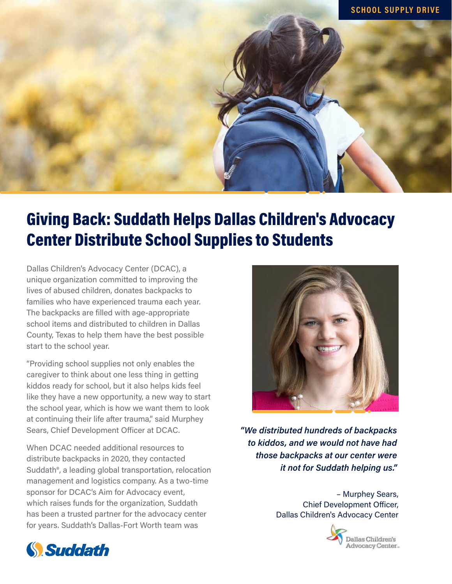

## Giving Back: Suddath Helps Dallas Children's Advocacy Center Distribute School Supplies to Students

Dallas Children's Advocacy Center (DCAC), a unique organization committed to improving the lives of abused children, donates backpacks to families who have experienced trauma each year. The backpacks are filled with age-appropriate school items and distributed to children in Dallas County, Texas to help them have the best possible start to the school year.

"Providing school supplies not only enables the caregiver to think about one less thing in getting kiddos ready for school, but it also helps kids feel like they have a new opportunity, a new way to start the school year, which is how we want them to look at continuing their life after trauma," said Murphey Sears, Chief Development Officer at DCAC.

When DCAC needed additional resources to distribute backpacks in 2020, they contacted Suddath®, a leading global transportation, relocation management and logistics company. As a two-time sponsor for DCAC's Aim for Advocacy event, which raises funds for the organization, Suddath has been a trusted partner for the advocacy center for years. Suddath's Dallas-Fort Worth team was



*"We distributed hundreds of backpacks to kiddos, and we would not have had those backpacks at our center were it not for Suddath helping us."*

> – Murphey Sears, Chief Development Officer, Dallas Children's Advocacy Center



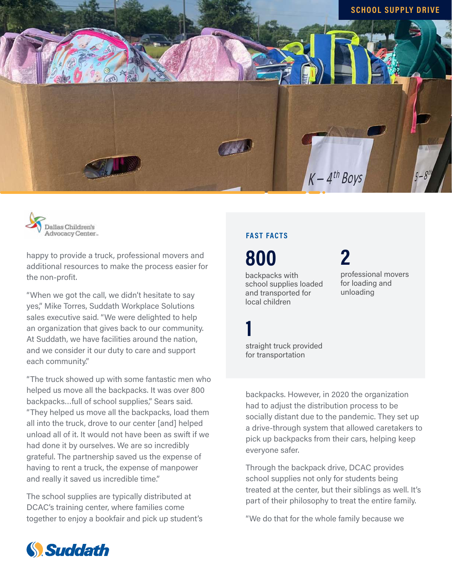



happy to provide a truck, professional movers and additional resources to make the process easier for the non-profit.

"When we got the call, we didn't hesitate to say yes," Mike Torres, Suddath Workplace Solutions sales executive said. "We were delighted to help an organization that gives back to our community. At Suddath, we have facilities around the nation, and we consider it our duty to care and support each community."

"The truck showed up with some fantastic men who helped us move all the backpacks. It was over 800 backpacks…full of school supplies," Sears said. "They helped us move all the backpacks, load them all into the truck, drove to our center [and] helped unload all of it. It would not have been as swift if we had done it by ourselves. We are so incredibly grateful. The partnership saved us the expense of having to rent a truck, the expense of manpower and really it saved us incredible time."

The school supplies are typically distributed at DCAC's training center, where families come together to enjoy a bookfair and pick up student's

## **FAST FACTS**

**1**

backpacks with school supplies loaded and transported for local children **800**

straight truck provided for transportation

professional movers for loading and unloading **2**

backpacks. However, in 2020 the organization had to adjust the distribution process to be socially distant due to the pandemic. They set up a drive-through system that allowed caretakers to pick up backpacks from their cars, helping keep everyone safer.

Through the backpack drive, DCAC provides school supplies not only for students being treated at the center, but their siblings as well. It's part of their philosophy to treat the entire family.

"We do that for the whole family because we